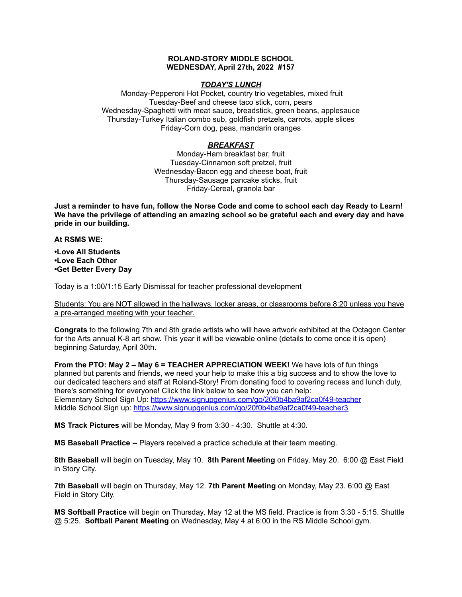## **ROLAND-STORY MIDDLE SCHOOL WEDNESDAY, April 27th, 2022 #157**

## *TODAY'S LUNCH*

Monday-Pepperoni Hot Pocket, country trio vegetables, mixed fruit Tuesday-Beef and cheese taco stick, corn, pears Wednesday-Spaghetti with meat sauce, breadstick, green beans, applesauce Thursday-Turkey Italian combo sub, goldfish pretzels, carrots, apple slices Friday-Corn dog, peas, mandarin oranges

## *BREAKFAST*

Monday-Ham breakfast bar, fruit Tuesday-Cinnamon soft pretzel, fruit Wednesday-Bacon egg and cheese boat, fruit Thursday-Sausage pancake sticks, fruit Friday-Cereal, granola bar

Just a reminder to have fun, follow the Norse Code and come to school each day Ready to Learn! **We have the privilege of attending an amazing school so be grateful each and every day and have pride in our building.**

#### **At RSMS WE:**

**•Love All Students •Love Each Other •Get Better Every Day**

Today is a 1:00/1:15 Early Dismissal for teacher professional development

Students: You are NOT allowed in the hallways, locker areas, or classrooms before 8:20 unless you have a pre-arranged meeting with your teacher.

**Congrats** to the following 7th and 8th grade artists who will have artwork exhibited at the Octagon Center for the Arts annual K-8 art show. This year it will be viewable online (details to come once it is open) beginning Saturday, April 30th.

**From the PTO: May 2 – May 6 = TEACHER APPRECIATION WEEK!** We have lots of fun things planned but parents and friends, we need your help to make this a big success and to show the love to our dedicated teachers and staff at Roland-Story! From donating food to covering recess and lunch duty, there's something for everyone! Click the link below to see how you can help: Elementary School Sign Up: <https://www.signupgenius.com/go/20f0b4ba9af2ca0f49-teacher> Middle School Sign up: <https://www.signupgenius.com/go/20f0b4ba9af2ca0f49-teacher3>

**MS Track Pictures** will be Monday, May 9 from 3:30 - 4:30. Shuttle at 4:30.

**MS Baseball Practice --** Players received a practice schedule at their team meeting.

**8th Baseball** will begin on Tuesday, May 10. **8th Parent Meeting** on Friday, May 20. 6:00 @ East Field in Story City.

**7th Baseball** will begin on Thursday, May 12. **7th Parent Meeting** on Monday, May 23. 6:00 @ East Field in Story City.

**MS Softball Practice** will begin on Thursday, May 12 at the MS field. Practice is from 3:30 - 5:15. Shuttle @ 5:25. **Softball Parent Meeting** on Wednesday, May 4 at 6:00 in the RS Middle School gym.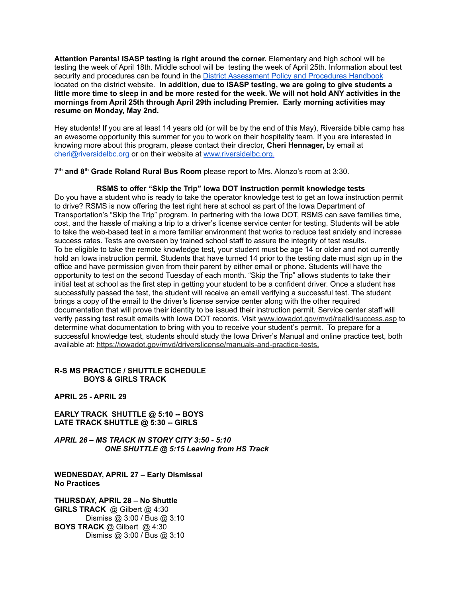**Attention Parents! ISASP testing is right around the corner.** Elementary and high school will be testing the week of April 18th. Middle school will be testing the week of April 25th. Information about test security and procedures can be found in the District [Assessment](https://rolandstory.school/media/Michelle%20Soderstrum/RSCSD_District_Assessment_Poli%20-%20Copy%203.pdf) Policy and Procedures Handbook located on the district website. **In addition, due to ISASP testing, we are going to give students a** little more time to sleep in and be more rested for the week. We will not hold ANY activities in the **mornings from April 25th through April 29th including Premier. Early morning activities may resume on Monday, May 2nd.**

Hey students! If you are at least 14 years old (or will be by the end of this May), Riverside bible camp has an awesome opportunity this summer for you to work on their hospitality team. If you are interested in knowing more about this program, please contact their director, **Cheri Hennager,** by email at cheri@riversidelbc.org or on their website at [www.riversidelbc.org.](http://www.riversidelbc.org/)

**7 th and 8 th Grade Roland Rural Bus Room** please report to Mrs. Alonzo's room at 3:30.

# **RSMS to offer "Skip the Trip" Iowa DOT instruction permit knowledge tests**

Do you have a student who is ready to take the operator knowledge test to get an Iowa instruction permit to drive? RSMS is now offering the test right here at school as part of the Iowa Department of Transportation's "Skip the Trip" program. In partnering with the Iowa DOT, RSMS can save families time, cost, and the hassle of making a trip to a driver's license service center for testing. Students will be able to take the web-based test in a more familiar environment that works to reduce test anxiety and increase success rates. Tests are overseen by trained school staff to assure the integrity of test results. To be eligible to take the remote knowledge test, your student must be age 14 or older and not currently hold an Iowa instruction permit. Students that have turned 14 prior to the testing date must sign up in the office and have permission given from their parent by either email or phone. Students will have the opportunity to test on the second Tuesday of each month. "Skip the Trip" allows students to take their initial test at school as the first step in getting your student to be a confident driver. Once a student has successfully passed the test, the student will receive an email verifying a successful test. The student brings a copy of the email to the driver's license service center along with the other required documentation that will prove their identity to be issued their instruction permit. Service center staff will verify passing test result emails with Iowa DOT records. Visit [www.iowadot.gov/mvd/realid/success.asp](http://www.iowadot.gov/mvd/realid/success.asp) to determine what documentation to bring with you to receive your student's permit. To prepare for a successful knowledge test, students should study the Iowa Driver's Manual and online practice test, both available at: <https://iowadot.gov/mvd/driverslicense/manuals-and-practice-tests>.

# **R-S MS PRACTICE / SHUTTLE SCHEDULE BOYS & GIRLS TRACK**

**APRIL 25 - APRIL 29**

**EARLY TRACK SHUTTLE @ 5:10 -- BOYS LATE TRACK SHUTTLE @ 5:30 -- GIRLS**

*APRIL 26 – MS TRACK IN STORY CITY 3:50 - 5:10 ONE SHUTTLE @ 5:15 Leaving from HS Track*

**WEDNESDAY, APRIL 27 – Early Dismissal No Practices**

**THURSDAY, APRIL 28 – No Shuttle GIRLS TRACK** @ Gilbert @ 4:30 Dismiss @ 3:00 / Bus @ 3:10 **BOYS TRACK** @ Gilbert @ 4:30 Dismiss @ 3:00 / Bus @ 3:10